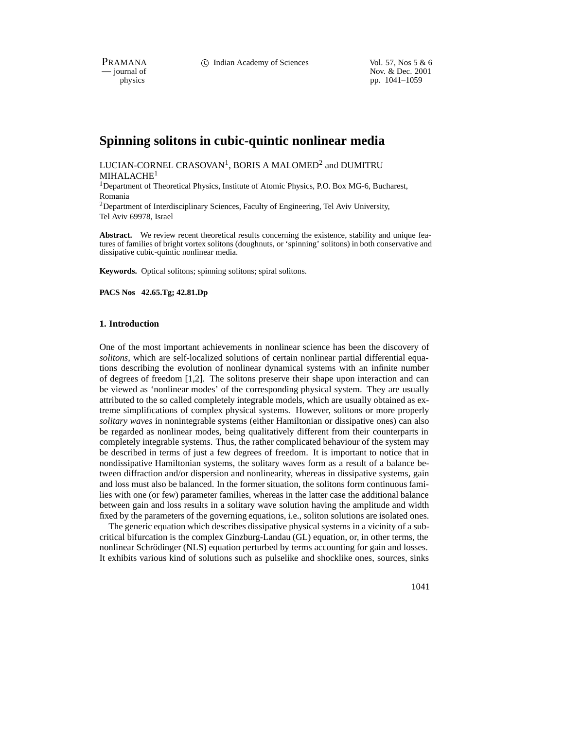PRAMANA 
compared to Compared Compared Compared Compared Compared Vol. 57, Nos 5 & 6<br>
compared to Compared Compared Nov. & Dec. 2001 position of the interval of Nov. & Dec. 2001<br>
position of the position of the position of the position of the position of the position of the position of the position of the position of the position of the position of the pp. 1041–1059

# **Spinning solitons in cubic-quintic nonlinear media**

LUCIAN-CORNEL CRASOVAN<sup>1</sup>, BORIS A MALOMED<sup>2</sup> and DUMITRU MIHALACHE<sup>1</sup>

<sup>1</sup>Department of Theoretical Physics, Institute of Atomic Physics, P.O. Box MG-6, Bucharest, Romania

<sup>2</sup>Department of Interdisciplinary Sciences, Faculty of Engineering, Tel Aviv University, Tel Aviv 69978, Israel

Abstract. We review recent theoretical results concerning the existence, stability and unique features of families of bright vortex solitons (doughnuts, or 'spinning' solitons) in both conservative and dissipative cubic-quintic nonlinear media.

**Keywords.** Optical solitons; spinning solitons; spiral solitons.

**PACS Nos 42.65.Tg; 42.81.Dp**

### **1. Introduction**

One of the most important achievements in nonlinear science has been the discovery of *solitons*, which are self-localized solutions of certain nonlinear partial differential equations describing the evolution of nonlinear dynamical systems with an infinite number of degrees of freedom [1,2]. The solitons preserve their shape upon interaction and can be viewed as 'nonlinear modes' of the corresponding physical system. They are usually attributed to the so called completely integrable models, which are usually obtained as extreme simplifications of complex physical systems. However, solitons or more properly *solitary waves* in nonintegrable systems (either Hamiltonian or dissipative ones) can also be regarded as nonlinear modes, being qualitatively different from their counterparts in completely integrable systems. Thus, the rather complicated behaviour of the system may be described in terms of just a few degrees of freedom. It is important to notice that in nondissipative Hamiltonian systems, the solitary waves form as a result of a balance between diffraction and/or dispersion and nonlinearity, whereas in dissipative systems, gain and loss must also be balanced. In the former situation, the solitons form continuous families with one (or few) parameter families, whereas in the latter case the additional balance between gain and loss results in a solitary wave solution having the amplitude and width fixed by the parameters of the governing equations, i.e., soliton solutions are isolated ones.

The generic equation which describes dissipative physical systems in a vicinity of a subcritical bifurcation is the complex Ginzburg-Landau (GL) equation, or, in other terms, the nonlinear Schrödinger (NLS) equation perturbed by terms accounting for gain and losses. It exhibits various kind of solutions such as pulselike and shocklike ones, sources, sinks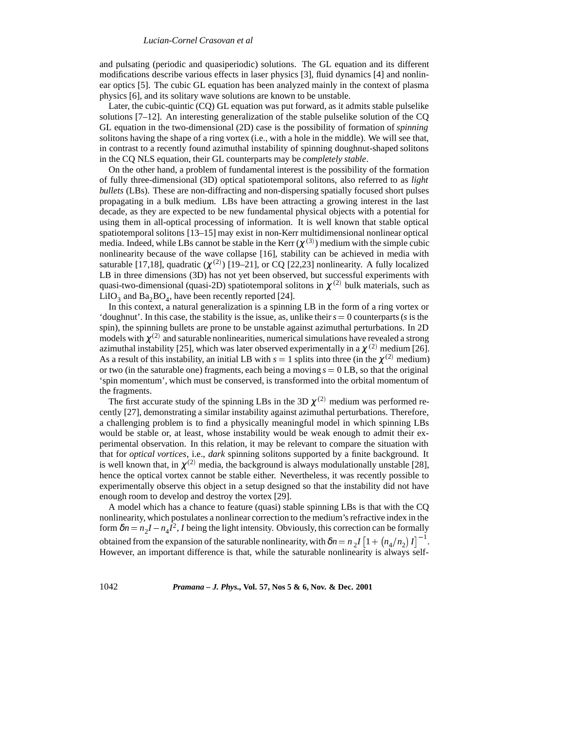and pulsating (periodic and quasiperiodic) solutions. The GL equation and its different modifications describe various effects in laser physics [3], fluid dynamics [4] and nonlinear optics [5]. The cubic GL equation has been analyzed mainly in the context of plasma physics [6], and its solitary wave solutions are known to be unstable.

Later, the cubic-quintic (CQ) GL equation was put forward, as it admits stable pulselike solutions  $[7-12]$ . An interesting generalization of the stable pulselike solution of the CQ GL equation in the two-dimensional (2D) case is the possibility of formation of *spinning* solitons having the shape of a ring vortex (i.e., with a hole in the middle). We will see that, in contrast to a recently found azimuthal instability of spinning doughnut-shaped solitons in the CQ NLS equation, their GL counterparts may be *completely stable*.

On the other hand, a problem of fundamental interest is the possibility of the formation of fully three-dimensional (3D) optical spatiotemporal solitons, also referred to as *light bullets* (LBs). These are non-diffracting and non-dispersing spatially focused short pulses propagating in a bulk medium. LBs have been attracting a growing interest in the last decade, as they are expected to be new fundamental physical objects with a potential for using them in all-optical processing of information. It is well known that stable optical spatiotemporal solitons [13–15] may exist in non-Kerr multidimensional nonlinear optical media. Indeed, while LBs cannot be stable in the Kerr  $(\chi^{(3)})$  medium with the simple cubic nonlinearity because of the wave collapse [16], stability can be achieved in media with saturable [17,18], quadratic  $(\chi^{(2)})$  [19–21], or CQ [22,23] nonlinearity. A fully localized LB in three dimensions (3D) has not yet been observed, but successful experiments with quasi-two-dimensional (quasi-2D) spatiotemporal solitons in  $\chi^{(2)}$  bulk materials, such as  $LiIO<sub>3</sub>$  and  $Ba<sub>2</sub>BO<sub>4</sub>$ , have been recently reported [24].

In this context, a natural generalization is a spinning LB in the form of a ring vortex or 'doughnut'. In this case, the stability is the issue, as, unlike their  $s = 0$  counterparts (*s* is the spin), the spinning bullets are prone to be unstable against azimuthal perturbations. In 2D models with  $\chi^{(2)}$  and saturable nonlinearities, numerical simulations have revealed a strong azimuthal instability [25], which was later observed experimentally in a  $\chi^{(2)}$  medium [26]. As a result of this instability, an initial LB with  $s = 1$  splits into three (in the  $\chi^{(2)}$  medium) or two (in the saturable one) fragments, each being a moving  $s = 0$  LB, so that the original 'spin momentum', which must be conserved, is transformed into the orbital momentum of the fragments.

The first accurate study of the spinning LBs in the 3D  $\chi$ <sup>(2)</sup> medium was performed recently [27], demonstrating a similar instability against azimuthal perturbations. Therefore, a challenging problem is to find a physically meaningful model in which spinning LBs would be stable or, at least, whose instability would be weak enough to admit their experimental observation. In this relation, it may be relevant to compare the situation with that for *optical vortices*, i.e., *dark* spinning solitons supported by a finite background. It is well known that, in  $\chi^{(2)}$  media, the background is always modulationally unstable [28], hence the optical vortex cannot be stable either. Nevertheless, it was recently possible to experimentally observe this object in a setup designed so that the instability did not have enough room to develop and destroy the vortex [29].

A model which has a chance to feature (quasi) stable spinning LBs is that with the CQ nonlinearity, which postulates a nonlinear correction to the medium's refractive index in the form  $\delta n = n_2 I - n_4 I^2$ , *I* being the light intensity. Obviously, this correction can be formally obtained from the expansion of the saturable nonlinearity, with  $\delta n = n_2 I \left[1 + \left(n_4/n_2\right)I\right]^{-1}$ . However, an important difference is that, while the saturable nonlinearity is always self-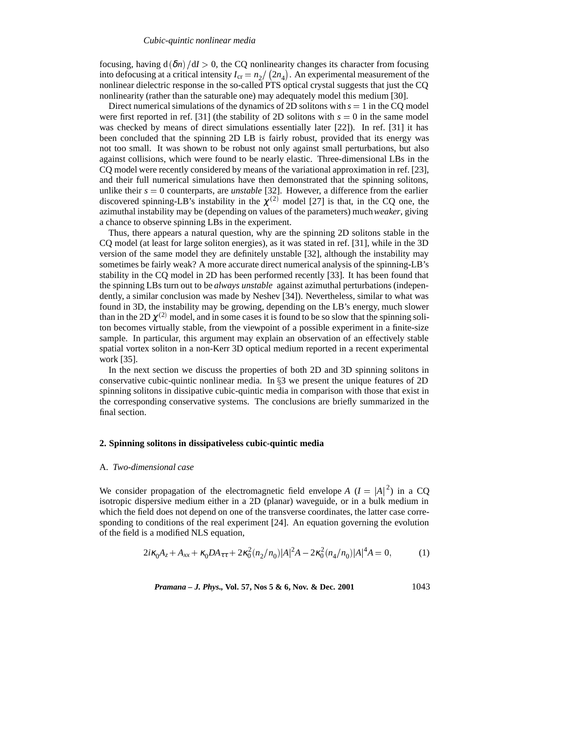focusing, having  $d(\delta n)/dI > 0$ , the CQ nonlinearity changes its character from focusing into defocusing at a critical intensity  $I_{cr} = n_2 / (2n_4)$ . An experimental measurement of the nonlinear dielectric response in the so-called PTS optical crystal suggests that just the CQ nonlinearity (rather than the saturable one) may adequately model this medium [30].

Direct numerical simulations of the dynamics of 2D solitons with  $s = 1$  in the CQ model were first reported in ref. [31] (the stability of 2D solitons with  $s = 0$  in the same model was checked by means of direct simulations essentially later [22]). In ref. [31] it has been concluded that the spinning 2D LB is fairly robust, provided that its energy was not too small. It was shown to be robust not only against small perturbations, but also against collisions, which were found to be nearly elastic. Three-dimensional LBs in the CQ model were recently considered by means of the variational approximation in ref. [23], and their full numerical simulations have then demonstrated that the spinning solitons, unlike their *s* <sup>=</sup> 0 counterparts, are *unstable* [32]. However, a difference from the earlier discovered spinning-LB's instability in the  $\chi^{(2)}$  model [27] is that, in the CQ one, the azimuthal instability may be (depending on values of the parameters) much*weaker*, giving a chance to observe spinning LBs in the experiment.

Thus, there appears a natural question, why are the spinning 2D solitons stable in the CQ model (at least for large soliton energies), as it was stated in ref. [31], while in the 3D version of the same model they are definitely unstable [32], although the instability may sometimes be fairly weak? A more accurate direct numerical analysis of the spinning-LB's stability in the CQ model in 2D has been performed recently [33]. It has been found that the spinning LBs turn out to be *always unstable* against azimuthal perturbations (independently, a similar conclusion was made by Neshev [34]). Nevertheless, similar to what was found in 3D, the instability may be growing, depending on the LB's energy, much slower than in the 2D  $\chi^{(2)}$  model, and in some cases it is found to be so slow that the spinning soliton becomes virtually stable, from the viewpoint of a possible experiment in a finite-size sample. In particular, this argument may explain an observation of an effectively stable spatial vortex soliton in a non-Kerr 3D optical medium reported in a recent experimental work [35].

In the next section we discuss the properties of both 2D and 3D spinning solitons in conservative cubic-quintic nonlinear media. In  $\S 3$  we present the unique features of 2D spinning solitons in dissipative cubic-quintic media in comparison with those that exist in the corresponding conservative systems. The conclusions are briefly summarized in the final section.

#### **2. Spinning solitons in dissipativeless cubic-quintic media**

### A. *Two-dimensional case*

We consider propagation of the electromagnetic field envelope *A* ( $I = |A|^2$ ) in a CQ isotropic dispersive medium either in a 2D (planar) waveguide, or in a bulk medium in which the field does not depend on one of the transverse coordinates, the latter case corresponding to conditions of the real experiment [24]. An equation governing the evolution of the field is a modified NLS equation,

$$
2i\kappa_0 A_z + A_{xx} + \kappa_0 DA_{\tau\tau} + 2\kappa_0^2 (n_2/n_0)|A|^2 A - 2\kappa_0^2 (n_4/n_0)|A|^4 A = 0,\tag{1}
$$

*Pramana – J. Phys.,* **Vol. 57, Nos 5 & 6, Nov. & Dec. 2001** 1043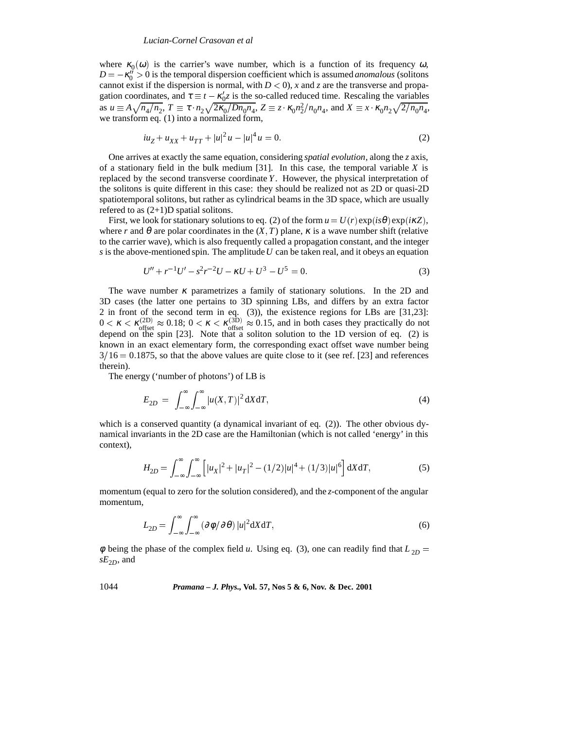where  $\kappa_0(\omega)$  is the carrier's wave number, which is a function of its frequency  $\omega$ ,  $D = -\kappa_0'' > 0$  is the temporal dispersion coefficient which is assumed *anomalous* (solitons cannot exist if the dispersion is normal, with  $D < 0$ , x and z are the transverse and propagation coordinates, and  $\tau \equiv t - \kappa_0^{\prime} z$  is the so-called reduced time. Rescaling the variables as  $u \equiv A \sqrt{n_4/n_2}$ ,  $T \equiv \tau \cdot n_2 \sqrt{2\kappa_0/Dn_0n_4}$ ,  $Z \equiv z \cdot \kappa_0 n_2^2/n_0n_4$ , and  $X \equiv x \cdot \kappa_0 n_2 \sqrt{2/n_0n_4}$ , we transform eq. (1) into a normalized form,

$$
iu_Z + u_{XX} + u_{TT} + |u|^2 u - |u|^4 u = 0.
$$
 (2)

One arrives at exactly the same equation, considering *spatial evolution*, along the *z* axis, of a stationary field in the bulk medium [31]. In this case, the temporal variable  $X$  is replaced by the second transverse coordinate *Y*. However, the physical interpretation of the solitons is quite different in this case: they should be realized not as 2D or quasi-2D spatiotemporal solitons, but rather as cylindrical beams in the 3D space, which are usually refered to as  $(2+1)D$  spatial solitons.

First, we look for stationary solutions to eq. (2) of the form  $u = U(r) \exp(i s \theta) \exp(i \kappa Z)$ , where *r* and  $\theta$  are polar coordinates in the  $(X, T)$  plane,  $\kappa$  is a wave number shift (relative to the carrier wave), which is also frequently called a propagation constant, and the integer *s* is the above-mentioned spin. The amplitude  $U$  can be taken real, and it obeys an equation

$$
U'' + r^{-1}U' - s^2r^{-2}U - \kappa U + U^3 - U^5 = 0.
$$
\n(3)

The wave number  $\kappa$  parametrizes a family of stationary solutions. In the 2D and 3D cases (the latter one pertains to 3D spinning LBs, and differs by an extra factor 2 in front of the second term in eq. (3)), the existence regions for LBs are [31,23]:  $0 < \kappa < \kappa_{\text{offset}}^{(2D)} \approx 0.18$ ;  $0 < \kappa < \kappa_{\text{offset}}^{(3D)} \approx 0.15$ , and in both cases they practically do not depend on the spin [23]. Note that a soliton solution to the 1D version of eq. (2) is known in an exact elementary form, the corresponding exact offset wave number being  $3/16 = 0.1875$ , so that the above values are quite close to it (see ref. [23] and references therein).

The energy ('number of photons') of LB is

$$
E_{2D} = \int_{-\infty}^{\infty} \int_{-\infty}^{\infty} |u(X,T)|^2 dX dT,
$$
\n(4)

which is a conserved quantity (a dynamical invariant of eq. (2)). The other obvious dynamical invariants in the 2D case are the Hamiltonian (which is not called 'energy' in this context),

$$
H_{2D} = \int_{-\infty}^{\infty} \int_{-\infty}^{\infty} \left[ |u_X|^2 + |u_T|^2 - (1/2)|u|^4 + (1/3)|u|^6 \right] dX dT,
$$
 (5)

momentum (equal to zero for the solution considered), and the *z*-component of the angular momentum,

$$
L_{2D} = \int_{-\infty}^{\infty} \int_{-\infty}^{\infty} (\partial \phi / \partial \theta) |u|^2 dX dT,
$$
\n(6)

 $\phi$  being the phase of the complex field *u*. Using eq. (3), one can readily find that  $L_{2D}$  =  $sE_{2D}$ , and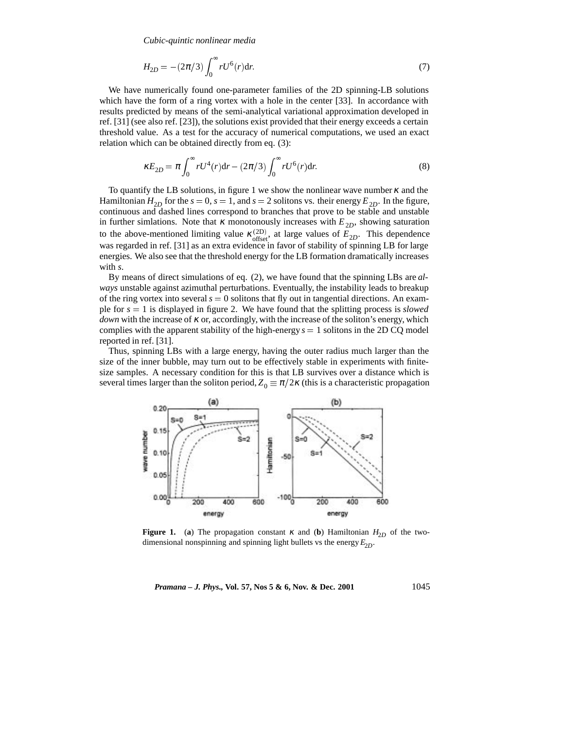$$
H_{2D} = -(2\pi/3) \int_0^\infty rU^6(r)dr.
$$
 (7)

We have numerically found one-parameter families of the 2D spinning-LB solutions which have the form of a ring vortex with a hole in the center [33]. In accordance with results predicted by means of the semi-analytical variational approximation developed in ref. [31] (see also ref. [23]), the solutions exist provided that their energy exceeds a certain threshold value. As a test for the accuracy of numerical computations, we used an exact relation which can be obtained directly from eq. (3):

$$
\kappa E_{2D} = \pi \int_0^\infty r U^4(r) dr - (2\pi/3) \int_0^\infty r U^6(r) dr.
$$
 (8)

To quantify the LB solutions, in figure 1 we show the nonlinear wave number  $\kappa$  and the Hamiltonian  $H_{2D}$  for the  $s = 0$ ,  $s = 1$ , and  $s = 2$  solitons vs. their energy  $E_{2D}$ . In the figure, continuous and dashed lines correspond to branches that prove to be stable and unstable in further simlations. Note that  $\kappa$  monotonously increases with  $E_{2D}$ , showing saturation to the above-mentioned limiting value  $\kappa$ <sup>(2D)</sup>, at large values of  $E_{2D}$ . This dependence was regarded in ref. [31] as an extra evidence in favor of stability of spinning LB for large energies. We also see that the threshold energy for the LB formation dramatically increases with *s*.

By means of direct simulations of eq. (2), we have found that the spinning LBs are *always* unstable against azimuthal perturbations. Eventually, the instability leads to breakup of the ring vortex into several  $s = 0$  solitons that fly out in tangential directions. An example for *s* <sup>=</sup> 1 is displayed in figure 2. We have found that the splitting process is *slowed down* with the increase of  $\kappa$  or, accordingly, with the increase of the soliton's energy, which complies with the apparent stability of the high-energy  $s = 1$  solitons in the 2D CQ model reported in ref. [31].

Thus, spinning LBs with a large energy, having the outer radius much larger than the size of the inner bubble, may turn out to be effectively stable in experiments with finitesize samples. A necessary condition for this is that LB survives over a distance which is several times larger than the soliton period,  $Z_0 \equiv \pi/2\kappa$  (this is a characteristic propagation



**Figure 1.** (a) The propagation constant  $\kappa$  and (b) Hamiltonian  $H_{2D}$  of the twodimensional nonspinning and spinning light bullets vs the energy  $E_{2D}$ .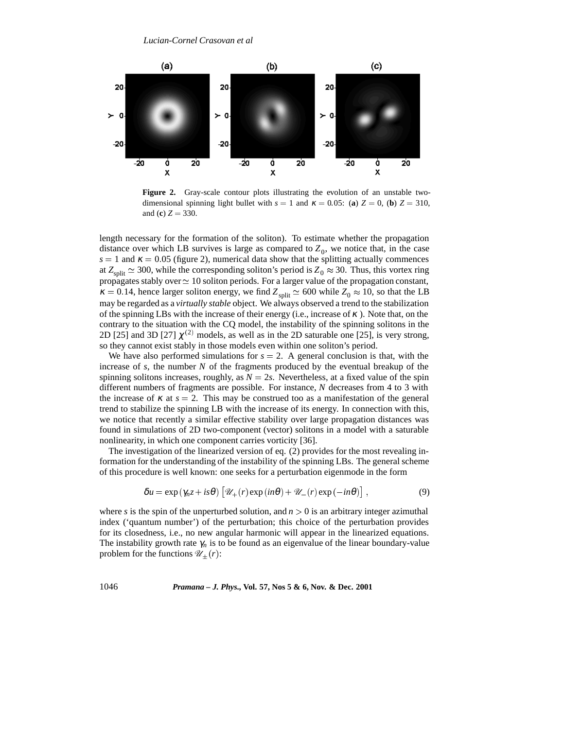

**Figure 2.** Gray-scale contour plots illustrating the evolution of an unstable twodimensional spinning light bullet with  $s = 1$  and  $\kappa = 0.05$ : (a)  $Z = 0$ , (b)  $Z = 310$ , and (**c**)  $Z = 330$ .

length necessary for the formation of the soliton). To estimate whether the propagation distance over which LB survives is large as compared to  $Z_0$ , we notice that, in the case  $s = 1$  and  $\kappa = 0.05$  (figure 2), numerical data show that the splitting actually commences at  $Z_{\text{split}} \simeq 300$ , while the corresponding soliton's period is  $Z_0 \approx 30$ . Thus, this vortex ring propagates stably over  $\simeq 10$  soliton periods. For a larger value of the propagation constant,  $\kappa = 0.14$ , hence larger soliton energy, we find  $Z_{\text{split}} \simeq 600$  while  $Z_0 \approx 10$ , so that the LB may be regarded as a *virtually stable* object. We always observed a trend to the stabilization of the spinning LBs with the increase of their energy (i.e., increase of  $\kappa$ ). Note that, on the contrary to the situation with the CQ model, the instability of the spinning solitons in the 2D [25] and 3D [27]  $\chi$ <sup>(2)</sup> models, as well as in the 2D saturable one [25], is very strong, so they cannot exist stably in those models even within one soliton's period.

We have also performed simulations for  $s = 2$ . A general conclusion is that, with the increase of *s*, the number *N* of the fragments produced by the eventual breakup of the spinning solitons increases, roughly, as  $N = 2s$ . Nevertheless, at a fixed value of the spin different numbers of fragments are possible. For instance, *N* decreases from 4 to 3 with the increase of  $\kappa$  at  $s = 2$ . This may be construed too as a manifestation of the general trend to stabilize the spinning LB with the increase of its energy. In connection with this, we notice that recently a similar effective stability over large propagation distances was found in simulations of 2D two-component (vector) solitons in a model with a saturable nonlinearity, in which one component carries vorticity [36].

The investigation of the linearized version of eq. (2) provides for the most revealing information for the understanding of the instability of the spinning LBs. The general scheme of this procedure is well known: one seeks for a perturbation eigenmode in the form

$$
\delta u = \exp(\gamma_n z + is\theta) \left[ \mathcal{U}_+(r) \exp(in\theta) + \mathcal{U}_-(r) \exp(-in\theta) \right],\tag{9}
$$

where *s* is the spin of the unperturbed solution, and  $n > 0$  is an arbitrary integer azimuthal index ('quantum number') of the perturbation; this choice of the perturbation provides for its closedness, i.e., no new angular harmonic will appear in the linearized equations. The instability growth rate  $\gamma_n$  is to be found as an eigenvalue of the linear boundary-value problem for the functions  $\mathscr{U}_+(r)$ :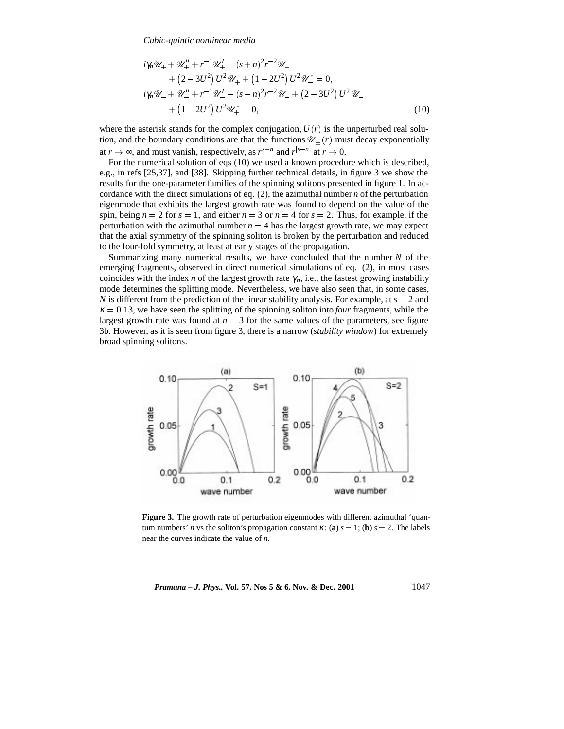$$
i\gamma_n \mathcal{U}_+ + \mathcal{U}_+^{"} + r^{-1} \mathcal{U}_+^{\prime} - (s+n)^2 r^{-2} \mathcal{U}_+ + (2-3U^2) U^2 \mathcal{U}_+ + (1-2U^2) U^2 \mathcal{U}_-^* = 0, i\gamma_n \mathcal{U}_- + \mathcal{U}_-^{"} + r^{-1} \mathcal{U}_-^{\prime} - (s-n)^2 r^{-2} \mathcal{U}_- + (2-3U^2) U^2 \mathcal{U}_- + (1-2U^2) U^2 \mathcal{U}_+^* = 0,
$$
\n(10)

where the asterisk stands for the complex conjugation,  $U(r)$  is the unperturbed real solution, and the boundary conditions are that the functions  $\mathcal{U}_{+}(r)$  must decay exponentially at  $r \to \infty$ , and must vanish, respectively, as  $r^{s+n}$  and  $r^{|s-n|}$  at  $r \to 0$ .

For the numerical solution of eqs (10) we used a known procedure which is described, e.g., in refs [25,37], and [38]. Skipping further technical details, in figure 3 we show the results for the one-parameter families of the spinning solitons presented in figure 1. In accordance with the direct simulations of eq. (2), the azimuthal number *n* of the perturbation eigenmode that exhibits the largest growth rate was found to depend on the value of the spin, being  $n = 2$  for  $s = 1$ , and either  $n = 3$  or  $n = 4$  for  $s = 2$ . Thus, for example, if the perturbation with the azimuthal number  $n = 4$  has the largest growth rate, we may expect that the axial symmetry of the spinning soliton is broken by the perturbation and reduced to the four-fold symmetry, at least at early stages of the propagation.

Summarizing many numerical results, we have concluded that the number *N* of the emerging fragments, observed in direct numerical simulations of eq. (2), in most cases coincides with the index *n* of the largest growth rate  $\gamma_n$ , i.e., the fastest growing instability mode determines the splitting mode. Nevertheless, we have also seen that, in some cases, *N* is different from the prediction of the linear stability analysis. For example, at  $s = 2$  and  $\kappa = 0.13$ , we have seen the splitting of the spinning soliton into *four* fragments, while the largest growth rate was found at  $n = 3$  for the same values of the parameters, see figure 3b. However, as it is seen from figure 3, there is a narrow (*stability window*) for extremely broad spinning solitons.



Figure 3. The growth rate of perturbation eigenmodes with different azimuthal 'quantum numbers' *n* vs the soliton's propagation constant  $\kappa$ : (a)  $s = 1$ ; (b)  $s = 2$ . The labels near the curves indicate the value of *n*.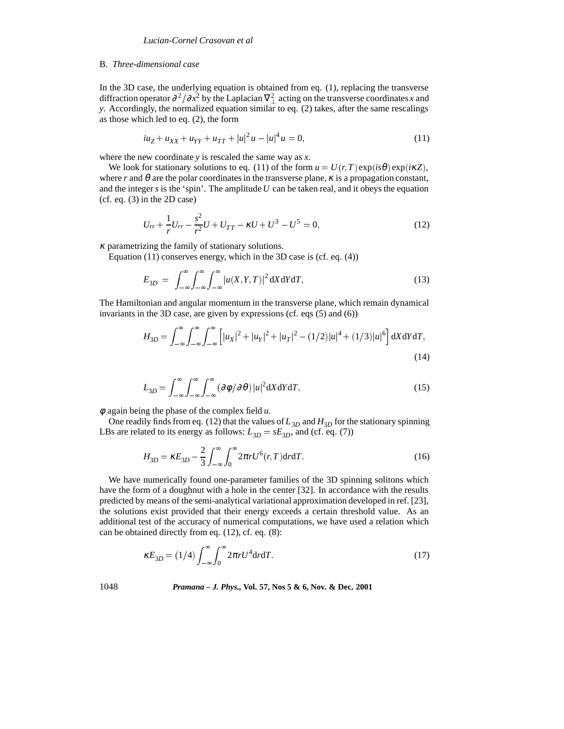# B. *Three-dimensional case*

In the 3D case, the underlying equation is obtained from eq. (1), replacing the transverse diffraction operator  $\partial^2/\partial x^2$  by the Laplacian  $\nabla^2_{\perp}$  acting on the transverse coordinates *x* and *y*. Accordingly, the normalized equation similar to eq. (2) takes, after the same rescalings as those which led to eq. (2), the form

$$
iu_Z + u_{XX} + u_{YY} + u_{TT} + |u|^2 u - |u|^4 u = 0,
$$
\n(11)

where the new coordinate *y* is rescaled the same way as *x*.

We look for stationary solutions to eq. (11) of the form  $u = U(r,T) \exp(is\theta) \exp(i\kappa Z)$ , where *r* and  $\theta$  are the polar coordinates in the transverse plane,  $\kappa$  is a propagation constant, and the integer*s* is the 'spin'. The amplitude*U* can be taken real, and it obeys the equation (cf. eq. (3) in the 2D case)

$$
U_{rr} + \frac{1}{r}U_{rr} - \frac{s^2}{r^2}U + U_{TT} - \kappa U + U^3 - U^5 = 0,
$$
\n(12)

<sup>κ</sup> parametrizing the family of stationary solutions.

Equation (11) conserves energy, which in the 3D case is (cf. eq. (4))

$$
E_{3D} = \int_{-\infty}^{\infty} \int_{-\infty}^{\infty} \int_{-\infty}^{\infty} |u(X, Y, T)|^2 dX dY dT,
$$
\n(13)

The Hamiltonian and angular momentum in the transverse plane, which remain dynamical invariants in the 3D case, are given by expressions (cf. eqs (5) and (6))

$$
H_{3D} = \int_{-\infty}^{\infty} \int_{-\infty}^{\infty} \int_{-\infty}^{\infty} \left[ |u_X|^2 + |u_Y|^2 + |u_T|^2 - (1/2)|u|^4 + (1/3)|u|^6 \right] dX dY dT,
$$
\n(14)

$$
L_{3D} = \int_{-\infty}^{\infty} \int_{-\infty}^{\infty} \int_{-\infty}^{\infty} (\partial \phi / \partial \theta) |u|^2 dX dY dT,
$$
 (15)

φ again being the phase of the complex field *u*.

One readily finds from eq. (12) that the values of  $L_{3D}$  and  $H_{3D}$  for the stationary spinning LBs are related to its energy as follows:  $L_{3D} = sE_{3D}$ , and (cf. eq. (7))

$$
H_{3D} = \kappa E_{3D} - \frac{2}{3} \int_{-\infty}^{\infty} \int_{0}^{\infty} 2\pi r U^{6}(r, T) dr dT.
$$
 (16)

We have numerically found one-parameter families of the 3D spinning solitons which have the form of a doughnut with a hole in the center [32]. In accordance with the results predicted by means of the semi-analytical variational approximation developed in ref. [23], the solutions exist provided that their energy exceeds a certain threshold value. As an additional test of the accuracy of numerical computations, we have used a relation which can be obtained directly from eq. (12), cf. eq. (8):

$$
\kappa E_{3D} = (1/4) \int_{-\infty}^{\infty} \int_{0}^{\infty} 2\pi r U^{4} dr dT.
$$
 (17)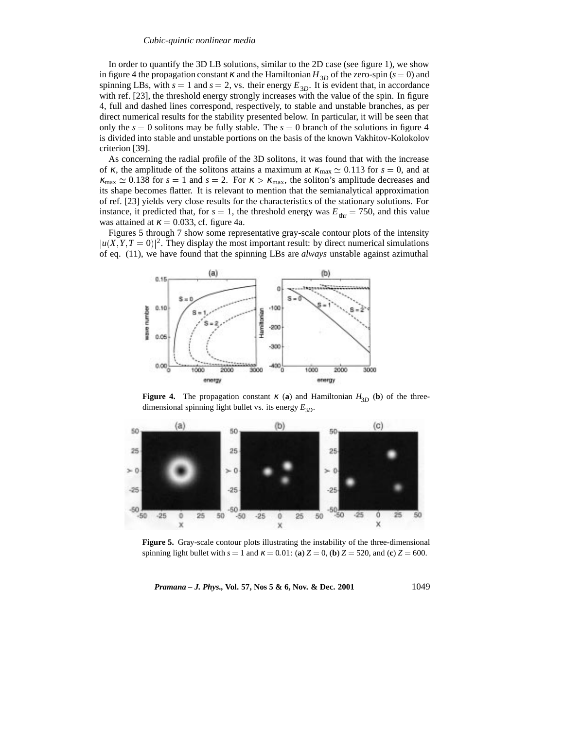In order to quantify the 3D LB solutions, similar to the 2D case (see figure 1), we show in figure 4 the propagation constant  $\kappa$  and the Hamiltonian  $H_{3D}$  of the zero-spin ( $s = 0$ ) and spinning LBs, with  $s = 1$  and  $s = 2$ , vs. their energy  $E_{3D}$ . It is evident that, in accordance with ref. [23], the threshold energy strongly increases with the value of the spin. In figure 4, full and dashed lines correspond, respectively, to stable and unstable branches, as per direct numerical results for the stability presented below. In particular, it will be seen that only the  $s = 0$  solitons may be fully stable. The  $s = 0$  branch of the solutions in figure 4 is divided into stable and unstable portions on the basis of the known Vakhitov-Kolokolov criterion [39].

As concerning the radial profile of the 3D solitons, it was found that with the increase of κ, the amplitude of the solitons attains a maximum at  $\kappa_{\text{max}} \simeq 0.113$  for  $s = 0$ , and at  $\kappa_{\text{max}} \simeq 0.138$  for  $s = 1$  and  $s = 2$ . For  $\kappa > \kappa_{\text{max}}$ , the soliton's amplitude decreases and its shape becomes flatter. It is relevant to mention that the semianalytical approximation of ref. [23] yields very close results for the characteristics of the stationary solutions. For instance, it predicted that, for  $s = 1$ , the threshold energy was  $E_{\text{thr}} = 750$ , and this value was attained at  $\kappa = 0.033$ , cf. figure 4a.

Figures 5 through 7 show some representative gray-scale contour plots of the intensity  $|u(X, Y, T = 0)|^2$ . They display the most important result: by direct numerical simulations of eq. (11), we have found that the spinning LBs are *always* unstable against azimuthal



**Figure 4.** The propagation constant  $\kappa$  (a) and Hamiltonian  $H_{3D}$  (b) of the threedimensional spinning light bullet vs. its energy  $E_{3D}$ .



**Figure 5.** Gray-scale contour plots illustrating the instability of the three-dimensional spinning light bullet with  $s = 1$  and  $\kappa = 0.01$ : (**a**)  $Z = 0$ , (**b**)  $Z = 520$ , and (**c**)  $Z = 600$ .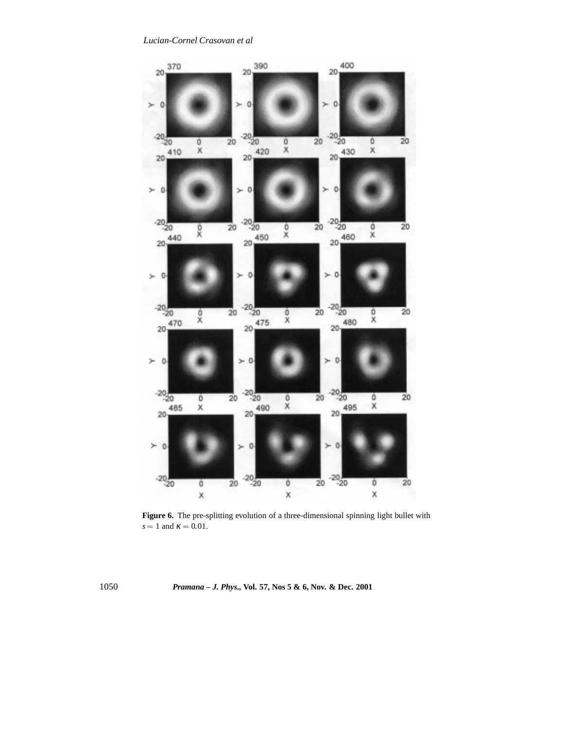

**Figure 6.** The pre-splitting evolution of a three-dimensional spinning light bullet with  $s = 1$  and  $\kappa = 0.01$ .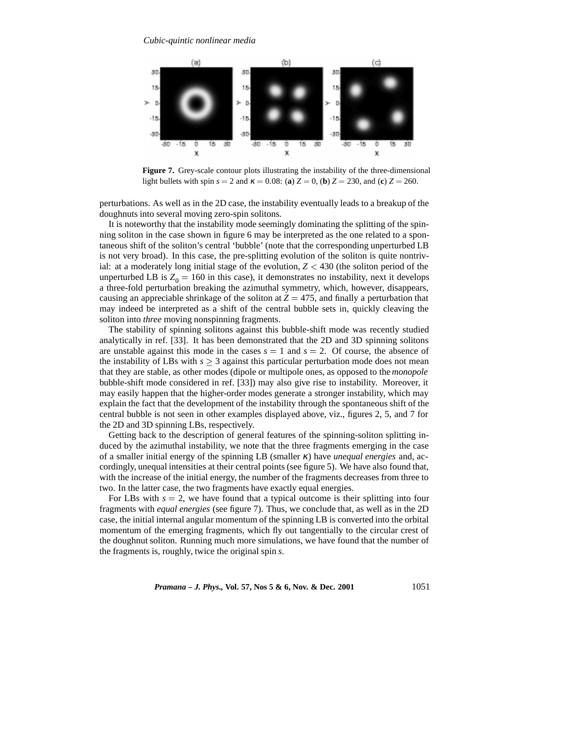

**Figure 7.** Grey-scale contour plots illustrating the instability of the three-dimensional light bullets with spin  $s = 2$  and  $\kappa = 0.08$ : (a)  $Z = 0$ , (b)  $Z = 230$ , and (c)  $Z = 260$ .

perturbations. As well as in the 2D case, the instability eventually leads to a breakup of the doughnuts into several moving zero-spin solitons.

It is noteworthy that the instability mode seemingly dominating the splitting of the spinning soliton in the case shown in figure 6 may be interpreted as the one related to a spontaneous shift of the soliton's central 'bubble' (note that the corresponding unperturbed LB is not very broad). In this case, the pre-splitting evolution of the soliton is quite nontrivial: at a moderately long initial stage of the evolution,  $Z < 430$  (the soliton period of the unperturbed LB is  $Z_0 = 160$  in this case), it demonstrates no instability, next it develops a three-fold perturbation breaking the azimuthal symmetry, which, however, disappears, causing an appreciable shrinkage of the soliton at  $Z = 475$ , and finally a perturbation that may indeed be interpreted as a shift of the central bubble sets in, quickly cleaving the soliton into *three* moving nonspinning fragments.

The stability of spinning solitons against this bubble-shift mode was recently studied analytically in ref. [33]. It has been demonstrated that the 2D and 3D spinning solitons are unstable against this mode in the cases  $s = 1$  and  $s = 2$ . Of course, the absence of the instability of LBs with  $s > 3$  against this particular perturbation mode does not mean that they are stable, as other modes (dipole or multipole ones, as opposed to the *monopole* bubble-shift mode considered in ref. [33]) may also give rise to instability. Moreover, it may easily happen that the higher-order modes generate a stronger instability, which may explain the fact that the development of the instability through the spontaneous shift of the central bubble is not seen in other examples displayed above, viz., figures 2, 5, and 7 for the 2D and 3D spinning LBs, respectively.

Getting back to the description of general features of the spinning-soliton splitting induced by the azimuthal instability, we note that the three fragments emerging in the case of a smaller initial energy of the spinning LB (smaller <sup>κ</sup>) have *unequal energies* and, accordingly, unequal intensities at their central points (see figure 5). We have also found that, with the increase of the initial energy, the number of the fragments decreases from three to two. In the latter case, the two fragments have exactly equal energies.

For LBs with  $s = 2$ , we have found that a typical outcome is their splitting into four fragments with *equal energies* (see figure 7). Thus, we conclude that, as well as in the 2D case, the initial internal angular momentum of the spinning LB is converted into the orbital momentum of the emerging fragments, which fly out tangentially to the circular crest of the doughnut soliton. Running much more simulations, we have found that the number of the fragments is, roughly, twice the original spin *s*.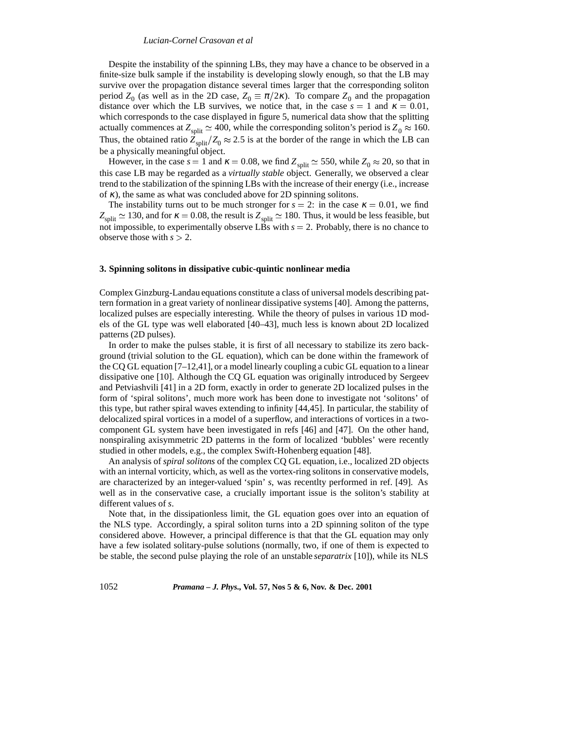Despite the instability of the spinning LBs, they may have a chance to be observed in a finite-size bulk sample if the instability is developing slowly enough, so that the LB may survive over the propagation distance several times larger that the corresponding soliton period  $Z_0$  (as well as in the 2D case,  $Z_0 \equiv \pi/2\kappa$ ). To compare  $Z_0$  and the propagation distance over which the LB survives, we notice that, in the case  $s = 1$  and  $\kappa = 0.01$ , which corresponds to the case displayed in figure 5, numerical data show that the splitting actually commences at  $Z_{split} \simeq 400$ , while the corresponding soliton's period is  $Z_0 \approx 160$ . Thus, the obtained ratio  $Z_{\text{split}}/Z_0 \approx 2.5$  is at the border of the range in which the LB can be a physically meaningful object.

However, in the case  $s = 1$  and  $\kappa = 0.08$ , we find  $Z_{split} \simeq 550$ , while  $Z_0 \approx 20$ , so that in this case LB may be regarded as a *virtually stable* object. Generally, we observed a clear trend to the stabilization of the spinning LBs with the increase of their energy (i.e., increase of  $\kappa$ ), the same as what was concluded above for 2D spinning solitons.

The instability turns out to be much stronger for  $s = 2$ : in the case  $\kappa = 0.01$ , we find  $Z_{\text{split}} \simeq 130$ , and for  $\kappa = 0.08$ , the result is  $Z_{\text{split}} \simeq 180$ . Thus, it would be less feasible, but not impossible, to experimentally observe LBs with  $s = 2$ . Probably, there is no chance to observe those with  $s > 2$ .

### **3. Spinning solitons in dissipative cubic-quintic nonlinear media**

Complex Ginzburg-Landau equations constitute a class of universal models describing pattern formation in a great variety of nonlinear dissipative systems [40]. Among the patterns, localized pulses are especially interesting. While the theory of pulses in various 1D models of the GL type was well elaborated [40–43], much less is known about 2D localized patterns (2D pulses).

In order to make the pulses stable, it is first of all necessary to stabilize its zero background (trivial solution to the GL equation), which can be done within the framework of the CQ GL equation  $[7-12,41]$ , or a model linearly coupling a cubic GL equation to a linear dissipative one [10]. Although the CQ GL equation was originally introduced by Sergeev and Petviashvili [41] in a 2D form, exactly in order to generate 2D localized pulses in the form of 'spiral solitons', much more work has been done to investigate not 'solitons' of this type, but rather spiral waves extending to infinity [44,45]. In particular, the stability of delocalized spiral vortices in a model of a superflow, and interactions of vortices in a twocomponent GL system have been investigated in refs [46] and [47]. On the other hand, nonspiraling axisymmetric 2D patterns in the form of localized 'bubbles' were recently studied in other models, e.g., the complex Swift-Hohenberg equation [48].

An analysis of *spiral solitons* of the complex CQ GL equation, i.e., localized 2D objects with an internal vorticity, which, as well as the vortex-ring solitons in conservative models, are characterized by an integer-valued 'spin' *s*, was recentlty performed in ref. [49]. As well as in the conservative case, a crucially important issue is the soliton's stability at different values of *s*.

Note that, in the dissipationless limit, the GL equation goes over into an equation of the NLS type. Accordingly, a spiral soliton turns into a 2D spinning soliton of the type considered above. However, a principal difference is that that the GL equation may only have a few isolated solitary-pulse solutions (normally, two, if one of them is expected to be stable, the second pulse playing the role of an unstable *separatrix* [10]), while its NLS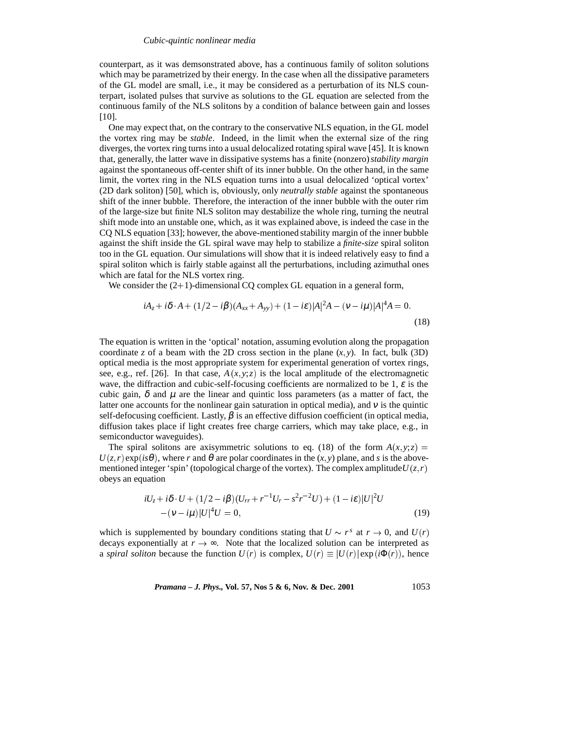counterpart, as it was demsonstrated above, has a continuous family of soliton solutions which may be parametrized by their energy. In the case when all the dissipative parameters of the GL model are small, i.e., it may be considered as a perturbation of its NLS counterpart, isolated pulses that survive as solutions to the GL equation are selected from the continuous family of the NLS solitons by a condition of balance between gain and losses [10].

One may expect that, on the contrary to the conservative NLS equation, in the GL model the vortex ring may be *stable*. Indeed, in the limit when the external size of the ring diverges, the vortex ring turns into a usual delocalized rotating spiral wave [45]. It is known that, generally, the latter wave in dissipative systems has a finite (nonzero)*stability margin* against the spontaneous off-center shift of its inner bubble. On the other hand, in the same limit, the vortex ring in the NLS equation turns into a usual delocalized 'optical vortex' (2D dark soliton) [50], which is, obviously, only *neutrally stable* against the spontaneous shift of the inner bubble. Therefore, the interaction of the inner bubble with the outer rim of the large-size but finite NLS soliton may destabilize the whole ring, turning the neutral shift mode into an unstable one, which, as it was explained above, is indeed the case in the CQ NLS equation [33]; however, the above-mentioned stability margin of the inner bubble against the shift inside the GL spiral wave may help to stabilize a *finite-size* spiral soliton too in the GL equation. Our simulations will show that it is indeed relatively easy to find a spiral soliton which is fairly stable against all the perturbations, including azimuthal ones which are fatal for the NLS vortex ring.

We consider the  $(2+1)$ -dimensional CQ complex GL equation in a general form,

$$
iA_z + i\delta \cdot A + (1/2 - i\beta)(A_{xx} + A_{yy}) + (1 - i\varepsilon)|A|^2 A - (v - i\mu)|A|^4 A = 0.
$$
\n(18)

The equation is written in the 'optical' notation, assuming evolution along the propagation coordinate *z* of a beam with the 2D cross section in the plane  $(x, y)$ . In fact, bulk (3D) optical media is the most appropriate system for experimental generation of vortex rings, see, e.g., ref. [26]. In that case,  $A(x, y; z)$  is the local amplitude of the electromagnetic wave, the diffraction and cubic-self-focusing coefficients are normalized to be 1,  $\varepsilon$  is the cubic gain,  $\delta$  and  $\mu$  are the linear and quintic loss parameters (as a matter of fact, the latter one accounts for the nonlinear gain saturation in optical media), and  $v$  is the quintic self-defocusing coefficient. Lastly,  $\beta$  is an effective diffusion coefficient (in optical media, diffusion takes place if light creates free charge carriers, which may take place, e.g., in semiconductor waveguides).

The spiral solitons are axisymmetric solutions to eq. (18) of the form  $A(x, y; z) =$  $U(z, r)$  exp(*is* $\theta$ ), where *r* and  $\theta$  are polar coordinates in the (*x*, *y*) plane, and *s* is the abovementioned integer 'spin' (topological charge of the vortex). The complex amplitude  $U(z, r)$ obeys an equation

$$
iU_z + i\delta \cdot U + (1/2 - i\beta)(U_{rr} + r^{-1}U_r - s^2r^{-2}U) + (1 - i\varepsilon)|U|^2U
$$
  
-(v - i\mu)|U|^4U = 0, (19)

which is supplemented by boundary conditions stating that  $U \sim r^s$  at  $r \to 0$ , and  $U(r)$ decays exponentially at  $r \rightarrow \infty$ . Note that the localized solution can be interpreted as a *spiral soliton* because the function  $U(r)$  is complex,  $U(r) \equiv |U(r)| \exp(i\Phi(r))$ , hence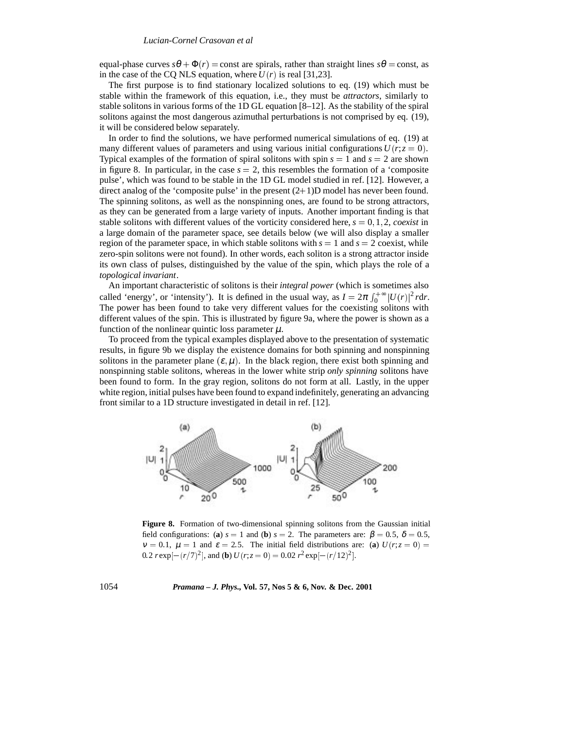equal-phase curves  $s\theta + \Phi(r)$  = const are spirals, rather than straight lines  $s\theta$  = const, as in the case of the CQ NLS equation, where  $U(r)$  is real [31,23].

The first purpose is to find stationary localized solutions to eq. (19) which must be stable within the framework of this equation, i.e., they must be *attractors*, similarly to stable solitons in various forms of the 1D GL equation [8–12]. As the stability of the spiral solitons against the most dangerous azimuthal perturbations is not comprised by eq. (19), it will be considered below separately.

In order to find the solutions, we have performed numerical simulations of eq. (19) at many different values of parameters and using various initial configurations  $U(r; z = 0)$ . Typical examples of the formation of spiral solitons with spin  $s = 1$  and  $s = 2$  are shown in figure 8. In particular, in the case  $s = 2$ , this resembles the formation of a 'composite pulse', which was found to be stable in the 1D GL model studied in ref. [12]. However, a direct analog of the 'composite pulse' in the present (2+1)D model has never been found. The spinning solitons, as well as the nonspinning ones, are found to be strong attractors, as they can be generated from a large variety of inputs. Another important finding is that stable solitons with different values of the vorticity considered here,  $s = 0, 1, 2$ , *coexist* in a large domain of the parameter space, see details below (we will also display a smaller region of the parameter space, in which stable solitons with  $s = 1$  and  $s = 2$  coexist, while zero-spin solitons were not found). In other words, each soliton is a strong attractor inside its own class of pulses, distinguished by the value of the spin, which plays the role of a *topological invariant*.

An important characteristic of solitons is their *integral power* (which is sometimes also called 'energy', or 'intensity'). It is defined in the usual way, as  $I = 2\pi \int_0^{+\infty} |U(r)|^2 r dr$ . The power has been found to take very different values for the coexisting solitons with different values of the spin. This is illustrated by figure 9a, where the power is shown as a function of the nonlinear quintic loss parameter  $\mu$ .

To proceed from the typical examples displayed above to the presentation of systematic results, in figure 9b we display the existence domains for both spinning and nonspinning solitons in the parameter plane  $(\epsilon, \mu)$ . In the black region, there exist both spinning and nonspinning stable solitons, whereas in the lower white strip *only spinning* solitons have been found to form. In the gray region, solitons do not form at all. Lastly, in the upper white region, initial pulses have been found to expand indefinitely, generating an advancing front similar to a 1D structure investigated in detail in ref. [12].



**Figure 8.** Formation of two-dimensional spinning solitons from the Gaussian initial field configurations: (**a**)  $s = 1$  and (**b**)  $s = 2$ . The parameters are:  $\beta = 0.5$ ,  $\delta = 0.5$ ,  $v = 0.1$ ,  $\mu = 1$  and  $\varepsilon = 2.5$ . The initial field distributions are: (a)  $U(r; z = 0) =$  $0.2 \, r \exp[-(r/7)^2]$ , and (**b**)  $U(r; z = 0) = 0.02 \, r^2 \exp[-(r/12)^2]$ .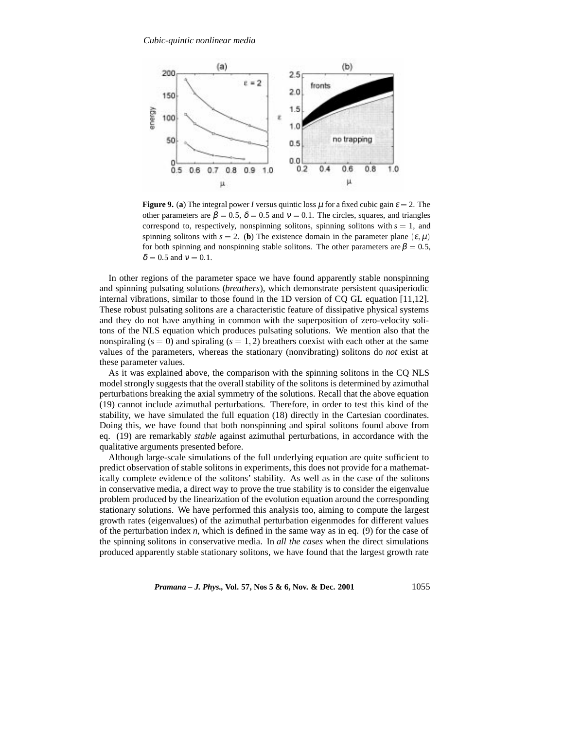

**Figure 9.** (a) The integral power *I* versus quintic loss  $\mu$  for a fixed cubic gain  $\varepsilon = 2$ . The other parameters are  $\beta = 0.5$ ,  $\delta = 0.5$  and  $v = 0.1$ . The circles, squares, and triangles correspond to, respectively, nonspinning solitons, spinning solitons with  $s = 1$ , and spinning solitons with  $s = 2$ . (**b**) The existence domain in the parameter plane  $(\varepsilon, \mu)$ for both spinning and nonspinning stable solitons. The other parameters are  $\beta = 0.5$ ,  $\delta = 0.5$  and  $v = 0.1$ .

In other regions of the parameter space we have found apparently stable nonspinning and spinning pulsating solutions (*breathers*), which demonstrate persistent quasiperiodic internal vibrations, similar to those found in the 1D version of CQ GL equation [11,12]. These robust pulsating solitons are a characteristic feature of dissipative physical systems and they do not have anything in common with the superposition of zero-velocity solitons of the NLS equation which produces pulsating solutions. We mention also that the nonspiraling  $(s = 0)$  and spiraling  $(s = 1, 2)$  breathers coexist with each other at the same values of the parameters, whereas the stationary (nonvibrating) solitons do *not* exist at these parameter values.

As it was explained above, the comparison with the spinning solitons in the CQ NLS model strongly suggests that the overall stability of the solitons is determined by azimuthal perturbations breaking the axial symmetry of the solutions. Recall that the above equation (19) cannot include azimuthal perturbations. Therefore, in order to test this kind of the stability, we have simulated the full equation (18) directly in the Cartesian coordinates. Doing this, we have found that both nonspinning and spiral solitons found above from eq. (19) are remarkably *stable* against azimuthal perturbations, in accordance with the qualitative arguments presented before.

Although large-scale simulations of the full underlying equation are quite sufficient to predict observation of stable solitons in experiments, this does not provide for a mathematically complete evidence of the solitons' stability. As well as in the case of the solitons in conservative media, a direct way to prove the true stability is to consider the eigenvalue problem produced by the linearization of the evolution equation around the corresponding stationary solutions. We have performed this analysis too, aiming to compute the largest growth rates (eigenvalues) of the azimuthal perturbation eigenmodes for different values of the perturbation index *n*, which is defined in the same way as in eq. (9) for the case of the spinning solitons in conservative media. In *all the cases* when the direct simulations produced apparently stable stationary solitons, we have found that the largest growth rate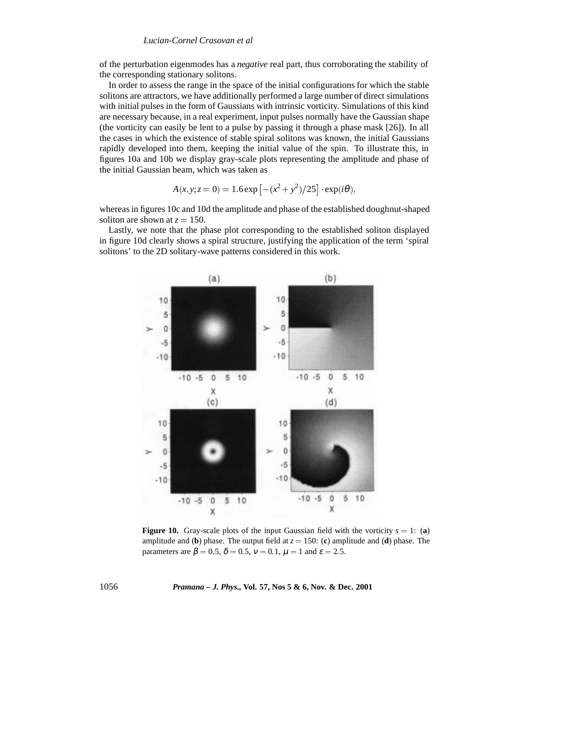of the perturbation eigenmodes has a *negative* real part, thus corroborating the stability of the corresponding stationary solitons.

In order to assess the range in the space of the initial configurations for which the stable solitons are attractors, we have additionally performed a large number of direct simulations with initial pulses in the form of Gaussians with intrinsic vorticity. Simulations of this kind are necessary because, in a real experiment, input pulses normally have the Gaussian shape (the vorticity can easily be lent to a pulse by passing it through a phase mask [26]). In all the cases in which the existence of stable spiral solitons was known, the initial Gaussians rapidly developed into them, keeping the initial value of the spin. To illustrate this, in figures 10a and 10b we display gray-scale plots representing the amplitude and phase of the initial Gaussian beam, which was taken as

$$
A(x, y; z = 0) = 1.6 \exp[-(x^2 + y^2)/25] \exp(i\theta),
$$

whereas in figures 10c and 10d the amplitude and phase of the established doughnut-shaped soliton are shown at  $z = 150$ .

Lastly, we note that the phase plot corresponding to the established soliton displayed in figure 10d clearly shows a spiral structure, justifying the application of the term 'spiral solitons' to the 2D solitary-wave patterns considered in this work.



**Figure 10.** Gray-scale plots of the input Gaussian field with the vorticity  $s = 1$ : (a) amplitude and (**b**) phase. The output field at  $z = 150$ : (**c**) amplitude and (**d**) phase. The parameters are  $\beta = 0.5$ ,  $\delta = 0.5$ ,  $v = 0.1$ ,  $\mu = 1$  and  $\varepsilon = 2.5$ .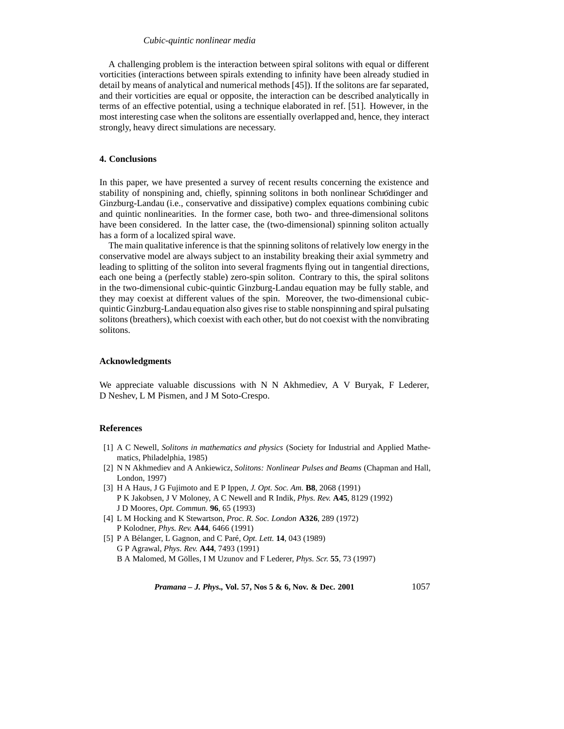A challenging problem is the interaction between spiral solitons with equal or different vorticities (interactions between spirals extending to infinity have been already studied in detail by means of analytical and numerical methods [45]). If the solitons are far separated, and their vorticities are equal or opposite, the interaction can be described analytically in terms of an effective potential, using a technique elaborated in ref. [51]. However, in the most interesting case when the solitons are essentially overlapped and, hence, they interact strongly, heavy direct simulations are necessary.

### **4. Conclusions**

In this paper, we have presented a survey of recent results concerning the existence and stability of nonspining and, chiefly, spinning solitons in both nonlinear Schrödinger and Ginzburg-Landau (i.e., conservative and dissipative) complex equations combining cubic and quintic nonlinearities. In the former case, both two- and three-dimensional solitons have been considered. In the latter case, the (two-dimensional) spinning soliton actually has a form of a localized spiral wave.

The main qualitative inference is that the spinning solitons of relatively low energy in the conservative model are always subject to an instability breaking their axial symmetry and leading to splitting of the soliton into several fragments flying out in tangential directions, each one being a (perfectly stable) zero-spin soliton. Contrary to this, the spiral solitons in the two-dimensional cubic-quintic Ginzburg-Landau equation may be fully stable, and they may coexist at different values of the spin. Moreover, the two-dimensional cubicquintic Ginzburg-Landau equation also gives rise to stable nonspinning and spiral pulsating solitons (breathers), which coexist with each other, but do not coexist with the nonvibrating solitons.

#### **Acknowledgments**

We appreciate valuable discussions with N N Akhmediev, A V Buryak, F Lederer, D Neshev, L M Pismen, and J M Soto-Crespo.

# **References**

- [1] A C Newell, *Solitons in mathematics and physics* (Society for Industrial and Applied Mathematics, Philadelphia, 1985)
- [2] N N Akhmediev and A Ankiewicz, *Solitons: Nonlinear Pulses and Beams* (Chapman and Hall, London, 1997)
- [3] H A Haus, J G Fujimoto and E P Ippen, *J. Opt. Soc. Am.* **B8**, 2068 (1991) P K Jakobsen, J V Moloney, A C Newell and R Indik, *Phys. Rev.* **A45**, 8129 (1992) J D Moores, *Opt. Commun.* **96**, 65 (1993)
- [4] L M Hocking and K Stewartson, *Proc. R. Soc. London* **A326**, 289 (1972) P Kolodner, *Phys. Rev.* **A44**, 6466 (1991)
- [5] P A Bélanger, L Gagnon, and C Paré, *Opt. Lett.* **14**, 043 (1989) G P Agrawal, *Phys. Rev.* **A44**, 7493 (1991) B A Malomed, M Gölles, I M Uzunov and F Lederer, *Phys. Scr.* 55, 73 (1997)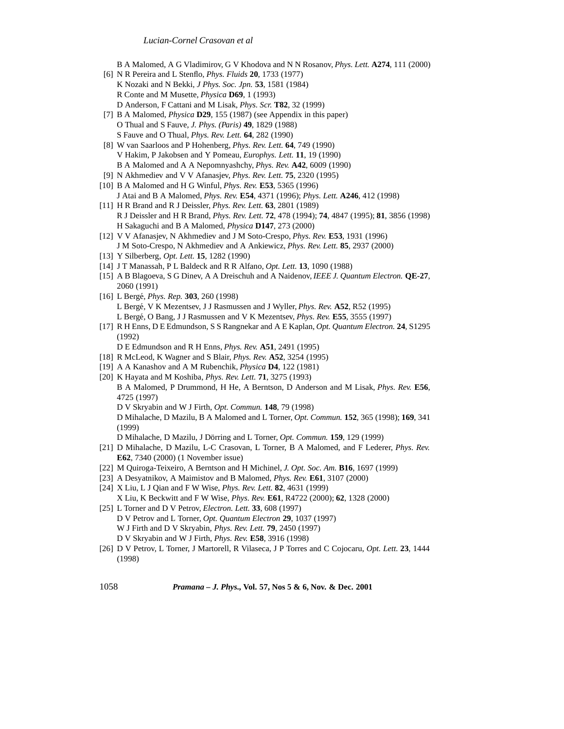- B A Malomed, A G Vladimirov, G V Khodova and N N Rosanov, *Phys. Lett.* **A274**, 111 (2000)
- [6] N R Pereira and L Stenflo, *Phys. Fluids* **20**, 1733 (1977) K Nozaki and N Bekki, *J Phys. Soc. Jpn.* **53**, 1581 (1984) R Conte and M Musette, *Physica* **D69**, 1 (1993)
	- D Anderson, F Cattani and M Lisak, *Phys. Scr.* **T82**, 32 (1999)
- [7] B A Malomed, *Physica* **D29**, 155 (1987) (see Appendix in this paper) O Thual and S Fauve, *J. Phys. (Paris)* **49**, 1829 (1988) S Fauve and O Thual, *Phys. Rev. Lett.* **64**, 282 (1990)
- [8] W van Saarloos and P Hohenberg, *Phys. Rev. Lett.* **64**, 749 (1990) V Hakim, P Jakobsen and Y Pomeau, *Europhys. Lett.* **11**, 19 (1990) B A Malomed and A A Nepomnyashchy, *Phys. Rev.* **A42**, 6009 (1990)
- [9] N Akhmediev and V V Afanasjev, *Phys. Rev. Lett.* **75**, 2320 (1995)
- [10] B A Malomed and H G Winful, *Phys. Rev.* **E53**, 5365 (1996) J Atai and B A Malomed, *Phys. Rev.* **E54**, 4371 (1996); *Phys. Lett.* **A246**, 412 (1998)
- [11] H R Brand and R J Deissler, *Phys. Rev. Lett.* **63**, 2801 (1989) R J Deissler and H R Brand, *Phys. Rev. Lett.* **72**, 478 (1994); **74**, 4847 (1995); **81**, 3856 (1998) H Sakaguchi and B A Malomed, *Physica* **D147**, 273 (2000)
- [12] V V Afanasjev, N Akhmediev and J M Soto-Crespo, *Phys. Rev.* **E53**, 1931 (1996) J M Soto-Crespo, N Akhmediev and A Ankiewicz, *Phys. Rev. Lett.* **85**, 2937 (2000)
- [13] Y Silberberg, *Opt. Lett.* **15**, 1282 (1990)
- [14] J T Manassah, P L Baldeck and R R Alfano, *Opt. Lett.* **13**, 1090 (1988)
- [15] A B Blagoeva, S G Dinev, A A Dreischuh and A Naidenov, *IEEE J. Quantum Electron.* **QE-27**, 2060 (1991)
- [16] L Berg´e, *Phys. Rep.* **303**, 260 (1998) L Berg´e, V K Mezentsev, J J Rasmussen and J Wyller, *Phys. Rev.* **A52**, R52 (1995) L Berg´e, O Bang, J J Rasmussen and V K Mezentsev, *Phys. Rev.* **E55**, 3555 (1997)
- [17] R H Enns, D E Edmundson, S S Rangnekar and A E Kaplan, *Opt. Quantum Electron.* **24**, S1295 (1992)
	- D E Edmundson and R H Enns, *Phys. Rev.* **A51**, 2491 (1995)
- [18] R McLeod, K Wagner and S Blair, *Phys. Rev.* **A52**, 3254 (1995)
- [19] A A Kanashov and A M Rubenchik, *Physica* **D4**, 122 (1981)
- [20] K Hayata and M Koshiba, *Phys. Rev. Lett.* **71**, 3275 (1993) B A Malomed, P Drummond, H He, A Berntson, D Anderson and M Lisak, *Phys. Rev.* **E56**, 4725 (1997) D V Skryabin and W J Firth, *Opt. Commun.* **148**, 79 (1998) D Mihalache, D Mazilu, B A Malomed and L Torner, *Opt. Commun.* **152**, 365 (1998); **169**, 341 (1999) D Mihalache, D Mazilu, J Dörring and L Torner, *Opt. Commun.* **159**, 129 (1999)
- [21] D Mihalache, D Mazilu, L-C Crasovan, L Torner, B A Malomed, and F Lederer, *Phys. Rev.* **E62**, 7340 (2000) (1 November issue)
- [22] M Quiroga-Teixeiro, A Berntson and H Michinel, *J. Opt. Soc. Am.* **B16**, 1697 (1999)
- [23] A Desyatnikov, A Maimistov and B Malomed, *Phys. Rev.* **E61**, 3107 (2000)
- [24] X Liu, L J Qian and F W Wise, *Phys. Rev. Lett.* **82**, 4631 (1999) X Liu, K Beckwitt and F W Wise, *Phys. Rev.* **E61**, R4722 (2000); **62**, 1328 (2000) [25] L Torner and D V Petrov, *Electron. Lett.* **33**, 608 (1997)
- D V Petrov and L Torner, *Opt. Quantum Electron* **29**, 1037 (1997) W J Firth and D V Skryabin, *Phys. Rev. Lett.* **79**, 2450 (1997) D V Skryabin and W J Firth, *Phys. Rev.* **E58**, 3916 (1998)
- [26] D V Petrov, L Torner, J Martorell, R Vilaseca, J P Torres and C Cojocaru, *Opt. Lett.* **23**, 1444 (1998)